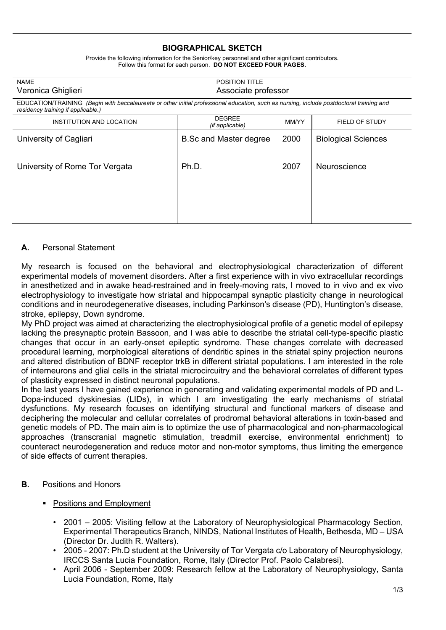## **BIOGRAPHICAL SKETCH**

| <b>NAME</b><br>Veronica Ghiglieri                                                                                                                                              |                                  | POSITION TITLE<br>Associate professor |       |                            |
|--------------------------------------------------------------------------------------------------------------------------------------------------------------------------------|----------------------------------|---------------------------------------|-------|----------------------------|
| EDUCATION/TRAINING (Begin with baccalaureate or other initial professional education, such as nursing, include postdoctoral training and<br>residency training if applicable.) |                                  |                                       |       |                            |
| INSTITUTION AND LOCATION                                                                                                                                                       | <b>DEGREE</b><br>(if applicable) |                                       | MM/YY | FIELD OF STUDY             |
| University of Cagliari                                                                                                                                                         | <b>B.Sc and Master degree</b>    |                                       | 2000  | <b>Biological Sciences</b> |
| University of Rome Tor Vergata                                                                                                                                                 | Ph.D.                            |                                       | 2007  | Neuroscience               |
|                                                                                                                                                                                |                                  |                                       |       |                            |

## Provide the following information for the Senior/key personnel and other significant contributors. Follow this format for each person. **DO NOT EXCEED FOUR PAGES.**

## **A.** Personal Statement

My research is focused on the behavioral and electrophysiological characterization of different experimental models of movement disorders. After a first experience with in vivo extracellular recordings in anesthetized and in awake head-restrained and in freely-moving rats, I moved to in vivo and ex vivo electrophysiology to investigate how striatal and hippocampal synaptic plasticity change in neurological conditions and in neurodegenerative diseases, including Parkinson's disease (PD), Huntington's disease, stroke, epilepsy, Down syndrome.

My PhD project was aimed at characterizing the electrophysiological profile of a genetic model of epilepsy lacking the presynaptic protein Bassoon, and I was able to describe the striatal cell-type-specific plastic changes that occur in an early-onset epileptic syndrome. These changes correlate with decreased procedural learning, morphological alterations of dendritic spines in the striatal spiny projection neurons and altered distribution of BDNF receptor trkB in different striatal populations. I am interested in the role of interneurons and glial cells in the striatal microcircuitry and the behavioral correlates of different types of plasticity expressed in distinct neuronal populations.

In the last years I have gained experience in generating and validating experimental models of PD and L-Dopa-induced dyskinesias (LIDs), in which I am investigating the early mechanisms of striatal dysfunctions. My research focuses on identifying structural and functional markers of disease and deciphering the molecular and cellular correlates of prodromal behavioral alterations in toxin-based and genetic models of PD. The main aim is to optimize the use of pharmacological and non-pharmacological approaches (transcranial magnetic stimulation, treadmill exercise, environmental enrichment) to counteract neurodegeneration and reduce motor and non-motor symptoms, thus limiting the emergence of side effects of current therapies.

- **B.** Positions and Honors
	- Positions and Employment
		- 2001 2005: Visiting fellow at the Laboratory of Neurophysiological Pharmacology Section, Experimental Therapeutics Branch, NINDS, National Institutes of Health, Bethesda, MD – USA (Director Dr. Judith R. Walters).
		- 2005 2007: Ph.D student at the University of Tor Vergata c/o Laboratory of Neurophysiology, IRCCS Santa Lucia Foundation, Rome, Italy (Director Prof. Paolo Calabresi).
		- April 2006 September 2009: Research fellow at the Laboratory of Neurophysiology, Santa Lucia Foundation, Rome, Italy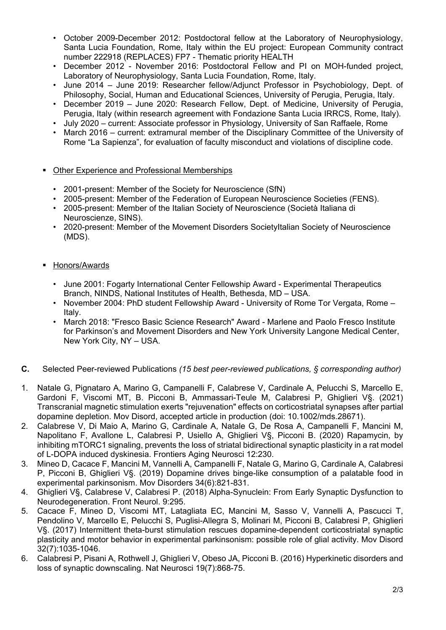- October 2009-December 2012: Postdoctoral fellow at the Laboratory of Neurophysiology, Santa Lucia Foundation, Rome, Italy within the EU project: European Community contract number 222918 (REPLACES) FP7 - Thematic priority HEALTH
- December 2012 November 2016: Postdoctoral Fellow and PI on MOH-funded project, Laboratory of Neurophysiology, Santa Lucia Foundation, Rome, Italy.
- June 2014 June 2019: Researcher fellow/Adjunct Professor in Psychobiology, Dept. of Philosophy, Social, Human and Educational Sciences, University of Perugia, Perugia, Italy.
- December 2019 June 2020: Research Fellow, Dept. of Medicine, University of Perugia, Perugia, Italy (within research agreement with Fondazione Santa Lucia IRRCS, Rome, Italy).
- July 2020 current: Associate professor in Physiology, University of San Raffaele, Rome
- March 2016 current: extramural member of the Disciplinary Committee of the University of Rome "La Sapienza", for evaluation of faculty misconduct and violations of discipline code.

## **• Other Experience and Professional Memberships**

- 2001-present: Member of the Society for Neuroscience (SfN)
- 2005-present: Member of the Federation of European Neuroscience Societies (FENS).
- 2005-present: Member of the Italian Society of Neuroscience (Società Italiana di Neuroscienze, SINS).
- 2020-present: Member of the Movement Disorders SocietyItalian Society of Neuroscience (MDS).
- Honors/Awards
	- June 2001: Fogarty International Center Fellowship Award Experimental Therapeutics Branch, NINDS, National Institutes of Health, Bethesda, MD – USA.
	- November 2004: PhD student Fellowship Award University of Rome Tor Vergata, Rome Italy.
	- March 2018: "Fresco Basic Science Research" Award Marlene and Paolo Fresco Institute for Parkinson's and Movement Disorders and New York University Langone Medical Center, New York City, NY – USA.
- **C.** Selected Peer-reviewed Publications *(15 best peer-reviewed publications, § corresponding author)*
- 1. Natale G, Pignataro A, Marino G, Campanelli F, Calabrese V, Cardinale A, Pelucchi S, Marcello E, Gardoni F, Viscomi MT, B. Picconi B, Ammassari-Teule M, Calabresi P, Ghiglieri V§. (2021) Transcranial magnetic stimulation exerts "rejuvenation" effects on corticostriatal synapses after partial dopamine depletion. Mov Disord, accepted article in production (doi: 10.1002/mds.28671).
- 2. Calabrese V, Di Maio A, Marino G, Cardinale A, Natale G, De Rosa A, Campanelli F, Mancini M, Napolitano F, Avallone L, Calabresi P, Usiello A, Ghiglieri V§, Picconi B. (2020) Rapamycin, by inhibiting mTORC1 signaling, prevents the loss of striatal bidirectional synaptic plasticity in a rat model of L-DOPA induced dyskinesia. Frontiers Aging Neurosci 12:230.
- 3. Mineo D, Cacace F, Mancini M, Vannelli A, Campanelli F, Natale G, Marino G, Cardinale A, Calabresi P, Picconi B, Ghiglieri V§. (2019) Dopamine drives binge-like consumption of a palatable food in experimental parkinsonism. Mov Disorders 34(6):821-831.
- 4. Ghiglieri V§, Calabrese V, Calabresi P. (2018) Alpha-Synuclein: From Early Synaptic Dysfunction to Neurodegeneration. Front Neurol. 9:295.
- 5. Cacace F, Mineo D, Viscomi MT, Latagliata EC, Mancini M, Sasso V, Vannelli A, Pascucci T, Pendolino V, Marcello E, Pelucchi S, Puglisi-Allegra S, Molinari M, Picconi B, Calabresi P, Ghiglieri V§. (2017) Intermittent theta-burst stimulation rescues dopamine-dependent corticostriatal synaptic plasticity and motor behavior in experimental parkinsonism: possible role of glial activity. Mov Disord 32(7):1035-1046.
- 6. Calabresi P, Pisani A, Rothwell J, Ghiglieri V, Obeso JA, Picconi B. (2016) Hyperkinetic disorders and loss of synaptic downscaling. Nat Neurosci 19(7):868-75.